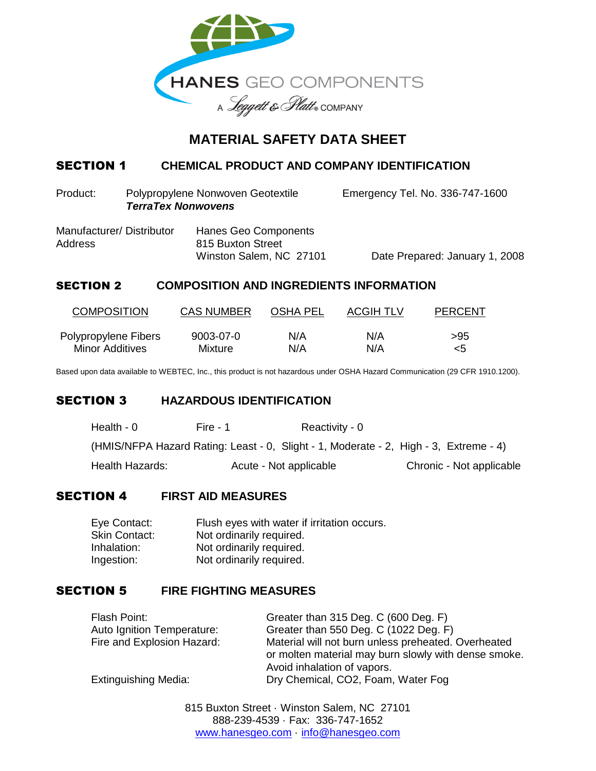

# **MATERIAL SAFETY DATA SHEET**

## SECTION 1 **CHEMICAL PRODUCT AND COMPANY IDENTIFICATION**

Product: Polypropylene Nonwoven Geotextile Emergency Tel. No. 336-747-1600 *TerraTex Nonwovens*

| Manufacturer/Distributor | Hanes Geo Components    |                                |
|--------------------------|-------------------------|--------------------------------|
| Address                  | 815 Buxton Street       |                                |
|                          | Winston Salem, NC 27101 | Date Prepared: January 1, 2008 |

## SECTION 2 **COMPOSITION AND INGREDIENTS INFORMATION**

| <b>COMPOSITION</b>   | <b>CAS NUMBER</b> | <b>OSHA PEL</b> | <b>ACGIH TLV</b> | <b>PERCENT</b> |
|----------------------|-------------------|-----------------|------------------|----------------|
| Polypropylene Fibers | 9003-07-0         | N/A             | N/A              | >95            |
| Minor Additives      | Mixture           | N/A             | N/A              | <5             |

Based upon data available to WEBTEC, Inc., this product is not hazardous under OSHA Hazard Communication (29 CFR 1910.1200).

### SECTION 3 **HAZARDOUS IDENTIFICATION**

| Health - 0      | Fire - 1 | Reactivity - 0                                                                        |                          |
|-----------------|----------|---------------------------------------------------------------------------------------|--------------------------|
|                 |          | (HMIS/NFPA Hazard Rating: Least - 0, Slight - 1, Moderate - 2, High - 3, Extreme - 4) |                          |
| Health Hazards: |          | Acute - Not applicable                                                                | Chronic - Not applicable |

### SECTION 4 **FIRST AID MEASURES**

| Eye Contact:         | Flush eyes with water if irritation occurs. |
|----------------------|---------------------------------------------|
| <b>Skin Contact:</b> | Not ordinarily required.                    |
| Inhalation:          | Not ordinarily required.                    |
| Ingestion:           | Not ordinarily required.                    |

## SECTION 5 **FIRE FIGHTING MEASURES**

| Flash Point:                | Greater than 315 Deg. C (600 Deg. F)                                                                                                       |
|-----------------------------|--------------------------------------------------------------------------------------------------------------------------------------------|
| Auto Ignition Temperature:  | Greater than 550 Deg. C (1022 Deg. F)                                                                                                      |
| Fire and Explosion Hazard:  | Material will not burn unless preheated. Overheated<br>or molten material may burn slowly with dense smoke.<br>Avoid inhalation of vapors. |
| <b>Extinguishing Media:</b> | Dry Chemical, CO2, Foam, Water Fog                                                                                                         |

815 Buxton Street · Winston Salem, NC 27101 888-239-4539 · Fax: 336-747-1652 www.hanesgeo.com · info@hanesgeo.com